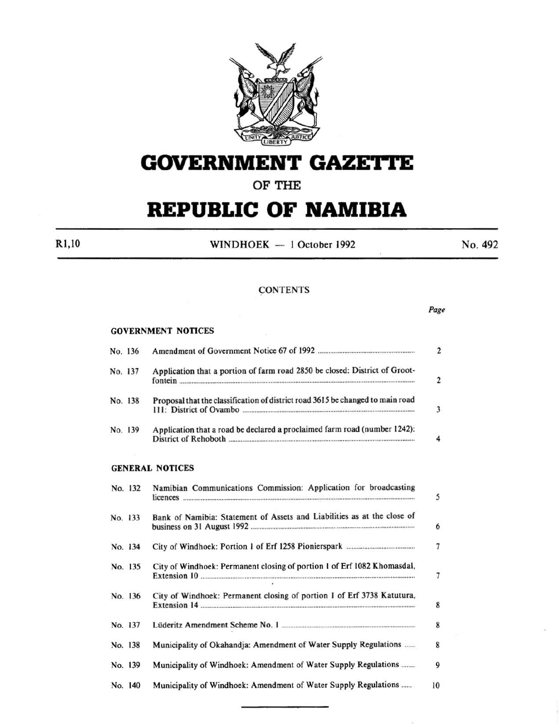

# **GOVERNMENT GAZETTE**

**OF THE** 

# **REPUBLIC OF NAMIBIA**

R1,10 WINDHOEK - 1 October 1992 No. 492

*Page* 

### **CONTENTS**

#### GOVERNMENT NOTICES

| No. 136 |         |                                                                                | $\overline{2}$           |
|---------|---------|--------------------------------------------------------------------------------|--------------------------|
|         | No. 137 | Application that a portion of farm road 2850 be closed: District of Groot-     | $\overline{2}$           |
|         | No. 138 | Proposal that the classification of district road 3615 be changed to main road | 3                        |
|         | No. 139 | Application that a road be declared a proclaimed farm road (number 1242):      | 4                        |
|         |         | <b>GENERAL NOTICES</b>                                                         |                          |
|         | No. 132 | Namibian Communications Commission: Application for broadcasting               | 5                        |
|         | No. 133 | Bank of Namibia: Statement of Assets and Liabilities as at the close of        | 6                        |
|         | No. 134 |                                                                                | 7                        |
|         | No. 135 | City of Windhoek: Permanent closing of portion 1 of Erf 1082 Khomasdal,        | $\overline{\phantom{a}}$ |
|         | No. 136 | City of Windhoek: Permanent closing of portion 1 of Erf 3738 Katutura,         | 8                        |
|         | No. 137 |                                                                                | 8                        |
|         | No. 138 | Municipality of Okahandja: Amendment of Water Supply Regulations               | 8                        |
|         | No. 139 | Municipality of Windhoek: Amendment of Water Supply Regulations                | 9                        |
|         | No. 140 | Municipality of Windhoek: Amendment of Water Supply Regulations                | 10                       |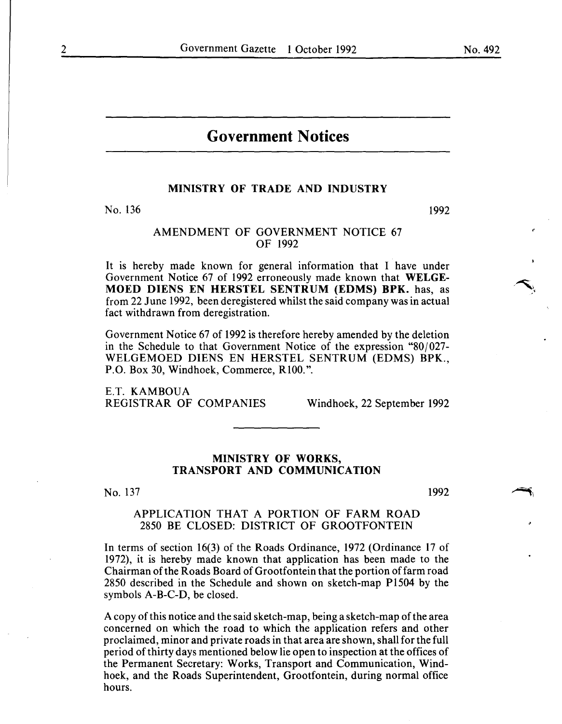## **Government Notices**

#### MINISTRY OF TRADE AND INDUSTRY

No. 136

1992

#### AMENDMENT OF GOVERNMENT NOTICE 67 OF 1992

It is hereby made known for general information that I have under Government Notice 67 of 1992 erroneously made known that WELGE-MOED DIENS EN HERSTEL SENTRUM (EDMS) **BPK.** has, as from 22 June 1992, been deregistered whilst the said company was in actual fact withdrawn from deregistration.

Government Notice 67 of 1992 is therefore hereby amended by the deletion in the Schedule to that Government Notice of the expression "80/027- WELGEMOED DIENS EN HERSTEL SENTRUM (EDMS) BPK., P.O. Box 30, Windhoek, Commerce, RIOO.".

E.T. KAMBOUA<br>REGISTRAR OF COMPANIES

Windhoek, 22 September 1992

#### MINISTRY OF WORKS, TRANSPORT AND COMMUNICATION

No. 137

1992

 $\rightarrow$ 

#### APPLICATION THAT A PORTION OF FARM ROAD 2850 BE CLOSED: DISTRICT OF GROOTFONTEIN

In terms of section 16(3) of the Roads Ordinance, 1972 (Ordinance 17 of 1972), it is hereby made known that application has been made to the Chairman of the Roads Board of Grootfontein that the portion of farm road 2850 described in the Schedule and shown on sketch-map Pl504 by the symbols A-B-C-D, be closed.

A copy of this notice and the said sketch-map, being a sketch-map of the area concerned on which the road to which the application refers and other proclaimed, minor and private roads in that area are shown, shall for the full period of thirty days mentioned below lie open to inspection at the offices of the Permanent Secretary: Works, Transport and Communication, Windhoek, and the Roads Superintendent, Grootfontein, during normal office hours.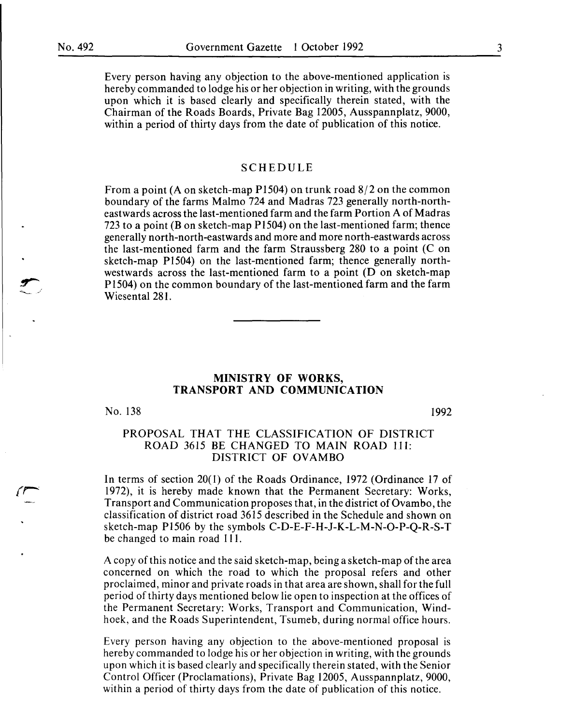Every person having any objection to the above-mentioned application is hereby commanded to lodge his or her objection in writing, with the grounds upon which it is based clearly and specifically therein stated, with the Chairman of the Roads Boards, Private Bag I2005, Ausspannplatz, 9000, within a period of thirty days from the date of publication of this notice.

#### SCHEDULE

From a point (A on sketch-map P1504) on trunk road  $8/2$  on the common boundary of the farms Malmo 724 and Madras 723 generally north-northeastwards across the last-mentioned farm and the farm Portion A of Madras 723 to a point (Bon sketch-map PI504) on the last-mentioned farm; thence generally north-north-eastwards and more and more north-eastwards across the last-mentioned farm and the farm Straussberg 280 to a point (C on sketch-map PI504) on the last-mentioned farm; thence generally northwestwards across the last-mentioned farm to a point (D on sketch-map PI504) on the common boundary of the last-mentioned farm and the farm Wiesental 28I.

#### **MINISTRY OF WORKS, TRANSPORT AND COMMUNICATION**

No. I38

I992

#### PROPOSAL THAT THE CLASSIFICATION OF DISTRICT ROAD 3615 BE CHANGED TO MAIN ROAD 111: DISTRICT OF OVAMBO

In terms of section 20(1) of the Roads Ordinance, 1972 (Ordinance I7 of I972), it is hereby made known that the Permanent Secretary: Works, Transport and Communication proposes that, in the district of Ovambo, the classification of district road 36I5 described in the Schedule and shown on sketch-map PI506 by the symbols C-D-E-F-H-J-K-L-M-N-0-P-Q-R-S-T be changed to main road 111.

A copy of this notice and the said sketch-map, being a sketch-map of the area concerned on which the road to which the proposal refers and other proclaimed, minor and private roads in that area are shown, shall for the full period of thirty days mentioned below lie open to inspection at the offices of the Permanent Secretary: Works, Transport and Communication, Windhoek, and the Roads Superintendent, Tsumeb, during normal office hours.

Every person having any objection to the above-mentioned proposal is hereby commanded to lodge his or her objection in writing, with the grounds upon which it is based clearly and specifically therein stated, with the Senior Control Officer (Proclamations), Private Bag 12005, Ausspannplatz, 9000, within a period of thirty days from the date of publication of this notice.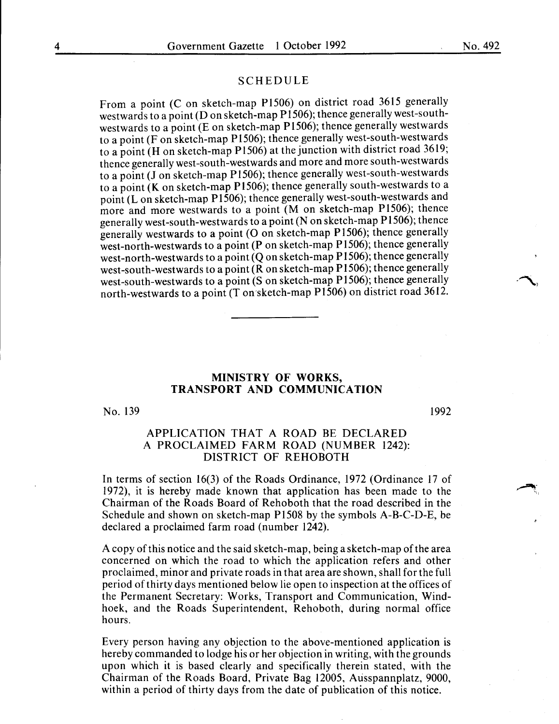#### SCHEDULE

From a point (C on sketch-map P1506) on district road 3615 generally westwards to a point ( $D$  on sketch-map P1506); thence generally west-southwestwards to a point (E on sketch-map P1506); thence generally westwards to a point (F on sketch-map P 1506); thence generally west-south-westwards to a point (H on sketch-map **P** 1506) at the junction with district road 3619; thence generally west-south-westwards and more and more south-westwards to a point (J on sketch-map P1506); thence generally west-south-westwards to a point (K on sketch-map P1506); thence generally south-westwards to a point (Lon sketch-map P1506); thence generally west-south-westwards and more and more westwards to a point (M on sketch-map P1506); thence generally west-south-westwards to a point (Non sketch-map P1506); thence generally westwards to a point (O on sketch-map P1506); thence generally west-north-westwards to a point **(P** on sketch-map P1506); thence generally west-north-westwards to a point (Q on sketch-map P1506); thence generally west-south-westwards to a point  $(R \text{ on sketch-map } P1506)$ ; thence generally west-south-westwards to a point (S on sketch-map P1506); thence generally north-westwards to a point (T on sketch-map P1506) on district road 3612.

#### **MINISTRY OF WORKS, TRANSPORT AND COMMUNICATION**

No. 139

1992

#### APPLICATION THAT A ROAD BE DECLARED A PROCLAIMED FARM ROAD (NUMBER 1242): DISTRICT OF REHOBOTH

In terms of section 16(3) of the Roads Ordinance, 1972 (Ordinance 17 of 1972), it is hereby made known that application has been made to the Chairman of the Roads Board of Rehoboth that the road described in the Schedule and shown on sketch-map P1508 by the symbols A-B-C-D-E, be declared a proclaimed farm road (number 1242).

A copy of this notice and the said sketch-map, being a sketch-map of the area concerned on which the road to which the application refers and other proclaimed, minor and private roads in that area are shown, shall for the full period of thirty days mentioned below lie open to inspection at the offices of the Permanent Secretary: Works, Transport and Communication, Windhoek, and the Roads Superintendent, Rehoboth, during normal office hours.

Every person having any objection to the above-mentioned application is hereby commanded to lodge his or her objection in writing, with the grounds upon which it is based clearly and specifically therein stated, with the Chairman of the Roads Board, Private Bag 12005, Ausspannplatz, 9000, within a period of thirty days from the date of publication of this notice.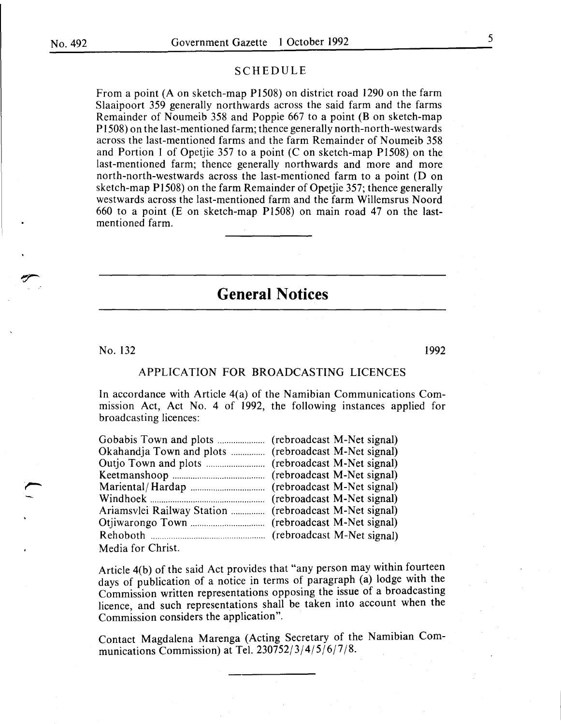#### SCHEDULE

From a point (A on sketch-map P1508) on district road 1290 on the farm Slaaipoort 359 generally northwards across the said farm and the farms Remainder of Noumeib 358 and Poppie 667 to a point (B on sketch-map P 1508) on the last-mentioned farm; thence generally north-north-westwards across the last-mentioned farms and the farm Remainder of Noumeib 358 and Portion I of Opetjie 357 to a point (C on sketch-map Pl508) on the last-mentioned farm; thence generally northwards and more and more north-north-westwards across the last-mentioned farm to a point (D on sketch-map Pl508) on the farm Remainder of Opetjie 357; thence generally westwards across the last-mentioned farm and the farm Willemsrus Noord 660 to a point (E on sketch-map Pl508) on main road 47 on the lastmentioned farm.

## **General Notices**

No.  $132$  1992

#### APPLICATION FOR BROADCASTING LICENCES

In accordance with Article 4(a) of the Namibian Communications Commission Act, Act No. 4 of 1992, the following instances applied for broadcasting licences:

| Media for Christ. |  |
|-------------------|--|

Article 4(b) of the said Act provides that "any person may within fourteen days of publication of a notice in terms of paragraph (a) lodge with the Commission written representations opposing the issue of a broadcasting licence, and such representations shall be taken into account when the Commission considers the application".

Contact Magdalena Marenga (Acting Secretary of the Namibian Communications Commission) at Tel. 230752/3/4/5/6/7/8.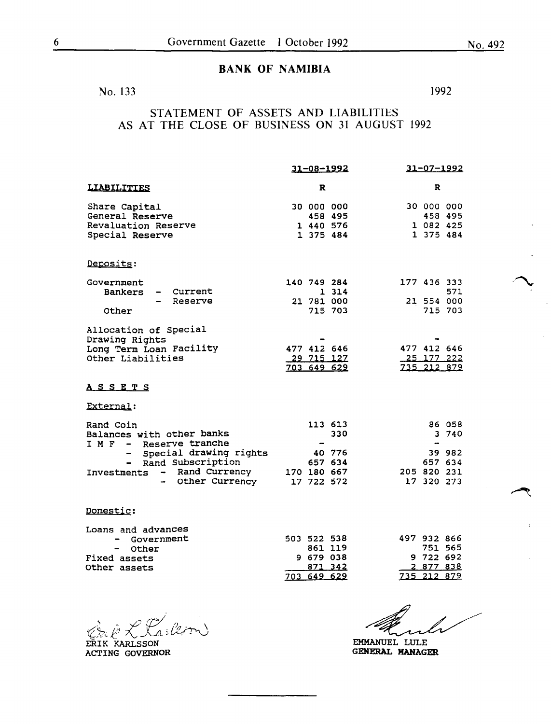### BANK OF NAMIBIA

No. 133 1992

STATEMENT OF ASSETS AND LIABILITIES AS AT THE CLOSE OF BUSINESS ON 31 AUGUST 1992

|                                                         | 31-08-1992                         | $31 - 07 - 1992$                   |
|---------------------------------------------------------|------------------------------------|------------------------------------|
| <b>LIABILITIES</b>                                      | R                                  | R                                  |
| Share Capital<br>General Reserve<br>Revaluation Reserve | 30 000 000<br>458 495<br>1 440 576 | 30 000 000<br>458 495<br>1 082 425 |
| Special Reserve                                         | 1 375 484                          | 1 375 484                          |
| Deposits:                                               |                                    |                                    |
| Government<br>Current<br><b>Bankers</b>                 | 140 749 284<br>1 3 1 4             | 177 436 333<br>571                 |
| Reserve                                                 | 21 781 000                         | 21 554 000                         |
| Other                                                   | 715 703                            | 715 703                            |
| Allocation of Special<br>Drawing Rights                 |                                    |                                    |
| Long Term Loan Facility                                 | 477 412 646                        | 477 412 646                        |
| Other Liabilities                                       | 29 715 127<br>703 649 629          | 25 177 222<br>735 212 879          |
| <u>ASSETS</u>                                           |                                    |                                    |
| External:                                               |                                    |                                    |
| Rand Coin                                               | 113 613                            | 86 058                             |
| Balances with other banks<br>I M F - Reserve tranche    | 330<br>$\qquad \qquad$             | 3 740<br>$\bullet$                 |
| Special drawing rights                                  | 40 776                             | 39 982                             |
| Rand Subscription<br>$\blacksquare$                     | 657 634                            | 657 634                            |
| - Rand Currency<br>Investments                          | 170 180 667                        | 205 820 231                        |
| - Other Currency                                        | 17 722 572                         | 17 320 273                         |
| Domestic:                                               |                                    |                                    |
| Loans and advances                                      |                                    |                                    |
| Government                                              | 503 522 538<br>861 119             | 497 932 866<br>751 565             |
| Other<br>Fixed assets                                   | 9 679 038                          | 9 722 692                          |
| Other assets                                            | 871 342                            | 2 877 838                          |
|                                                         | 703 649 629                        | 735 212 879                        |

\ *!:'£\_..,..\_, /)* -/'1-:, *;},* ; *lt7* ~ \ ~/" '- -<..: . ~ (.."'-;"' ' . \.\_)

ERIK KARLSSON ACTING GOVERNOR

EMMANUEL LULE GENERAL MANAGER

 $\sum_{i=1}^n$ 

 $\rightarrow$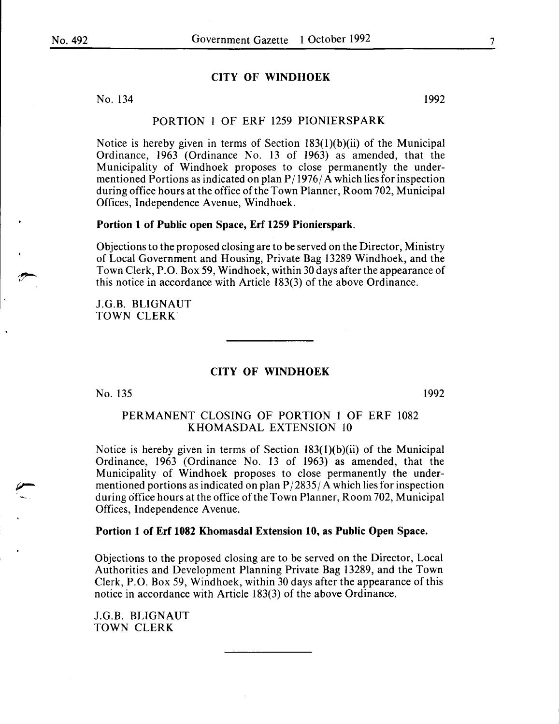#### **CITY OF WINDHOEK**

No. 134 1992

PORTION 1 OF ERF 1259 PIONIERSPARK

Notice is hereby given in terms of Section 183(l)(b)(ii) of the Municipal Ordinance, 1963 (Ordinance No. 13 of 1963) as amended, that the Municipality of Windhoek proposes to close permanently the undermentioned Portions as indicated on plan  $P/1976/A$  which lies for inspection during office hours at the office of the Town Planner, Room 702, Municipal Offices, Independence Avenue, Windhoek.

#### **Portion 1 of Public open Space, Erf 1259 Pionierspark.**

Objections to the proposed closing are to be served on the Director, Ministry of Local Government and Housing, Private Bag 13289 Windhoek, and the Town Clerk, P.O. Box 59, Windhoek, within 30 days after the appearance of this notice in accordance with Article 183(3) of the above Ordinance.

J.G.B. BLIGNAUT TOWN CLERK

#### **CITY OF WINDHOEK**

No. 135

1992

#### PERMANENT CLOSING OF PORTION 1 OF ERF 1082 KHOMASDAL EXTENSION 10

Notice is hereby given in terms of Section  $183(1)(b)(ii)$  of the Municipal Ordinance, 1963 (Ordinance No. 13 of 1963) as amended, that the Municipality of Windhoek proposes to close permanently the undermentioned portions as indicated on plan  $P/2835/A$  which lies for inspection during office hours at the office ofthe Town Planner, Room 702, Municipal Offices, Independence A venue.

#### **Portion 1 of Erf 1082 Khomasdal Extension 10, as Public Open Space.**

Objections to the proposed closing are to be served on the Director, Local Authorities and Development Planning Private Bag 13289, and the Town Clerk, P.O. Box 59, Windhoek, within 30 days after the appearance of this notice in accordance with Article 183(3) of the above Ordinance.

J.G.B. BLIGNAUT TOWN CLERK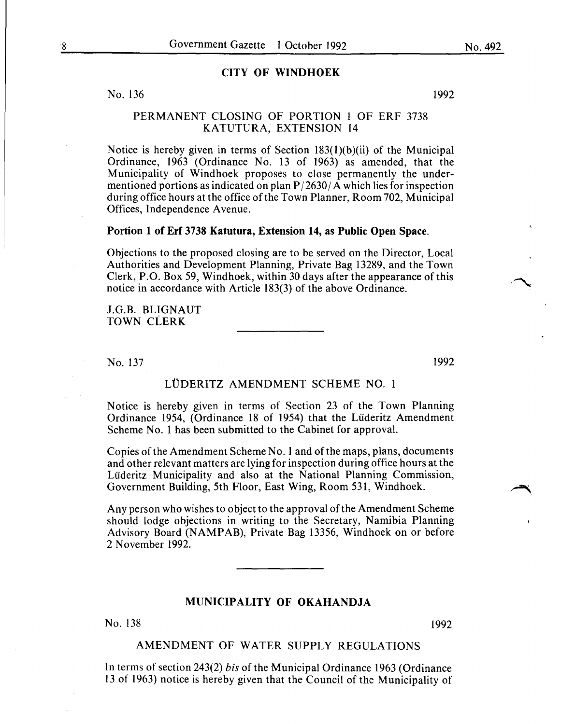#### CITY OF WINDHOEK

#### No. 136

1992

#### PERMANENT CLOSING OF PORTION 1 OF ERF 3738 KATUTURA, EXTENSION 14

Notice is hereby given in terms of Section 183(1)(b)(ii) of the Municipal Ordinance, 1963 (Ordinance No. 13 of 1963) as amended, that the Municipality of Windhoek proposes to close permanently the undermentioned portions as indicated on plan  $P/2630/A$  which lies for inspection during office hours at the office of the Town Planner, Room 702, Municipal Offices, Independence A venue.

#### Portion 1 of Erf 3738 Katutura, Extension 14, as Public Open Space.

Objections to the proposed closing are to be served on the Director, Local Authorities and Development Planning, Private Bag 13289, and the Town Clerk, P.O. Box 59, Windhoek, within 30 days after the appearance of this notice in accordance with Article 183(3) of the above Ordinance.

J.G.B. BLIGNAUT TOWN CLERK

No. 137

1992

#### LÜDERITZ AMENDMENT SCHEME NO. 1

Notice is hereby given in terms of Section 23 of the Town Planning Ordinance 1954, (Ordinance 18 of 1954) that the Liideritz Amendment Scheme No. 1 has been submitted to the Cabinet for approval.

Copies of the Amendment Scheme No.1 and ofthe maps, plans, documents and other relevant matters are lying for inspection during office hours at the Lüderitz Municipality and also at the National Planning Commission, Government Building, 5th Floor, East Wing, Room 531, Windhoek.

Any person who wishes to object to the approval of the Amendment Scheme should lodge objections in writing to the Secretary, Namibia Planning Advisory Board (NAMPAB), Private Bag 13356, Windhoek on or before 2 November 1992.

#### MUNICIPALITY OF OKAHANDJA

No. 138 1992

#### AMENDMENT OF WATER SUPPLY REGULATIONS

In terms of section 243(2) *bis* of the Municipal Ordinance 1963 (Ordinance 13 of 1963) notice is hereby given that the Council of the Municipality of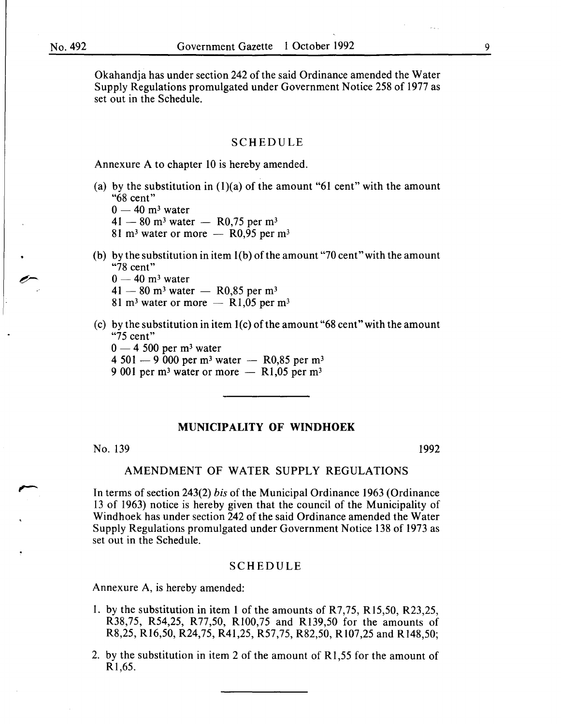Okahandja has under section 242 of the said Ordinance amended the Water Supply Regulations promulgated under Government Notice 258 of 1977 as set out in the Schedule.

#### SCHEDULE

Annexure A to chapter 10 is hereby amended.

(a) by the substitution in  $(1)(a)$  of the amount "61 cent" with the amount "68 cent"

 $0 - 40$  m<sup>3</sup> water

 $41 - 80$  m<sup>3</sup> water - R0,75 per m<sup>3</sup>

81 m<sup>3</sup> water or more  $-$  R0,95 per m<sup>3</sup>

(b) by the substitution in item  $l(b)$  of the amount "70 cent" with the amount "78 cent"

 $0-40$  m<sup>3</sup> water

 $41-80$  m<sup>3</sup> water - R0,85 per m<sup>3</sup>

81 m<sup>3</sup> water or more  $-$  R1,05 per m<sup>3</sup>

- (c) by the substitution in item  $1(c)$  of the amount "68 cent" with the amount "75 cent"
	- $0 4$  500 per m<sup>3</sup> water
	- 4 501 9 000 per m<sup>3</sup> water R0,85 per m<sup>3</sup>
	- 9 001 per m<sup>3</sup> water or more  $-$  R1,05 per m<sup>3</sup>

#### **MUNICIPALITY OF WINDHOEK**

No. 139

1992

#### AMENDMENT OF WATER SUPPLY REGULATIONS

In terms of section 243(2) *bis* of the Municipal Ordinance 1963 (Ordinance 13 of 1963) notice is hereby given that the council of the Municipality of Windhoek has under section 242 of the said Ordinance amended the Water Supply Regulations promulgated under Government Notice 138 of 1973 as set out in the Schedule.

#### SCHEDULE

Annexure A, is hereby amended:

- I. by the substitution in item **1** of the amounts of R7,75, R15,50, R23,25, R38,75, R54,25, R77,50, Rl00,75 and R139,50 for the amounts of R8,25, R16,50, R24,75, R41,25, R57,75, R82,50, R107,25 and Rl48,50;
- 2. by the substitution in item 2 of the amount of R1,55 for the amount of R1,65.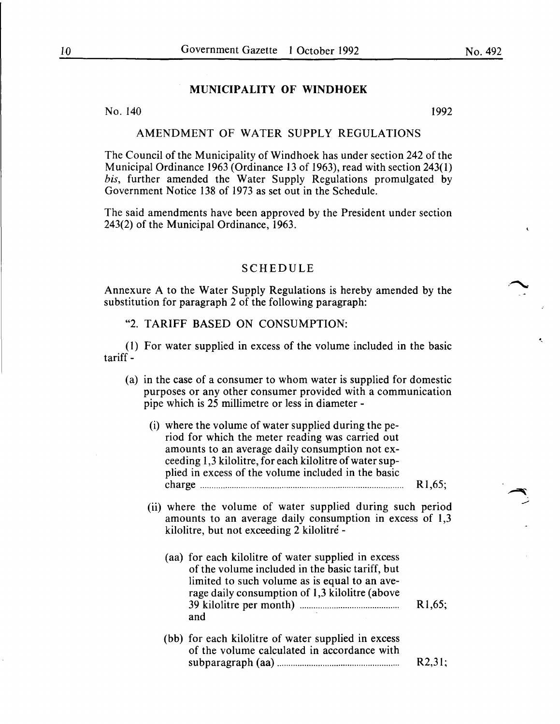#### **MUNICIPALITY OF WINDHOEK**

No. 140 1992

#### AMENDMENT OF WATER SUPPLY REGULATIONS

The Council of the Municipality of Windhoek has under section 242 of the Municipal Ordinance 1963 (Ordinance 13 of 1963), read with section 243(1) *bis, further amended the Water Supply Regulations promulgated by* Government Notice 138 of 1973 as set out in the Schedule.

The said amendments have been approved by the President under section 243(2) of the Municipal Ordinance, 1963.

#### SCHEDULE

Annexure A to the Water Supply Regulations is hereby amended by the substitution for paragraph 2 of the following paragraph:

"2. TARIFF BASED ON CONSUMPTION:

(1) For water supplied in excess of the volume included in the basic tariff-

(a) in the case of a consumer to whom water is supplied for domestic purposes or any other consumer provided with a communication pipe which is 25 millimetre or less in diameter -

|  | (i) where the volume of water supplied during the pe-<br>riod for which the meter reading was carried out<br>amounts to an average daily consumption not ex-<br>ceeding 1,3 kilolitre, for each kilolitre of water sup-<br>plied in excess of the volume included in the basic |                     |
|--|--------------------------------------------------------------------------------------------------------------------------------------------------------------------------------------------------------------------------------------------------------------------------------|---------------------|
|  |                                                                                                                                                                                                                                                                                | R <sub>1</sub> ,65; |
|  | (ii) where the volume of water supplied during such period<br>amounts to an average daily consumption in excess of 1,3<br>kilolitre, but not exceeding 2 kilolitré -                                                                                                           |                     |
|  | (aa) for each kilolitre of water supplied in excess<br>of the volume included in the basic tariff, but<br>limited to such volume as is equal to an ave-<br>rage daily consumption of 1,3 kilolitre (above<br>and                                                               | R1,65;              |
|  | (bb) for each kilolitre of water supplied in excess<br>of the volume calculated in accordance with                                                                                                                                                                             | R2,31;              |

·-